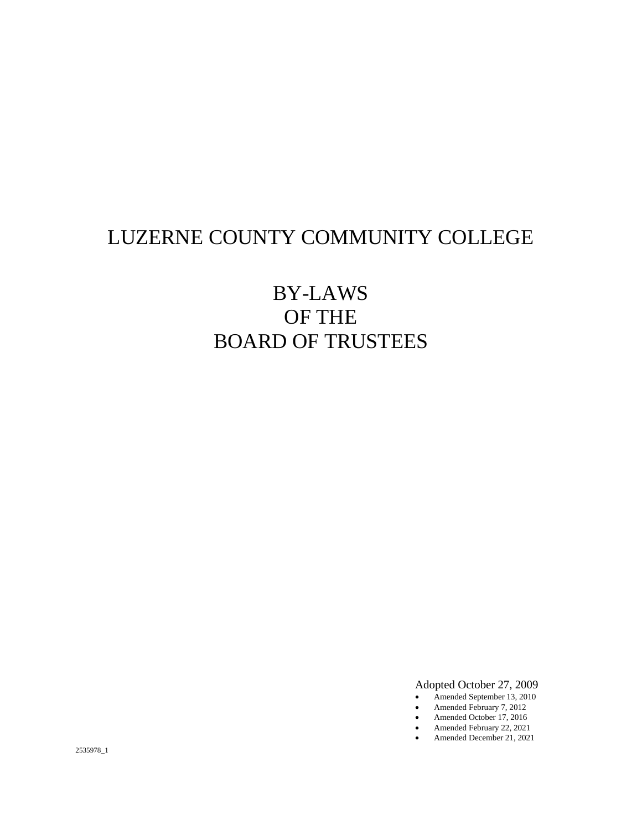# LUZERNE COUNTY COMMUNITY COLLEGE

# BY-LAWS OF THE BOARD OF TRUSTEES

Adopted October 27, 2009

- Amended September 13, 2010
- Amended February 7, 2012
- Amended October 17, 2016
- Amended February 22, 2021 • Amended December 21, 2021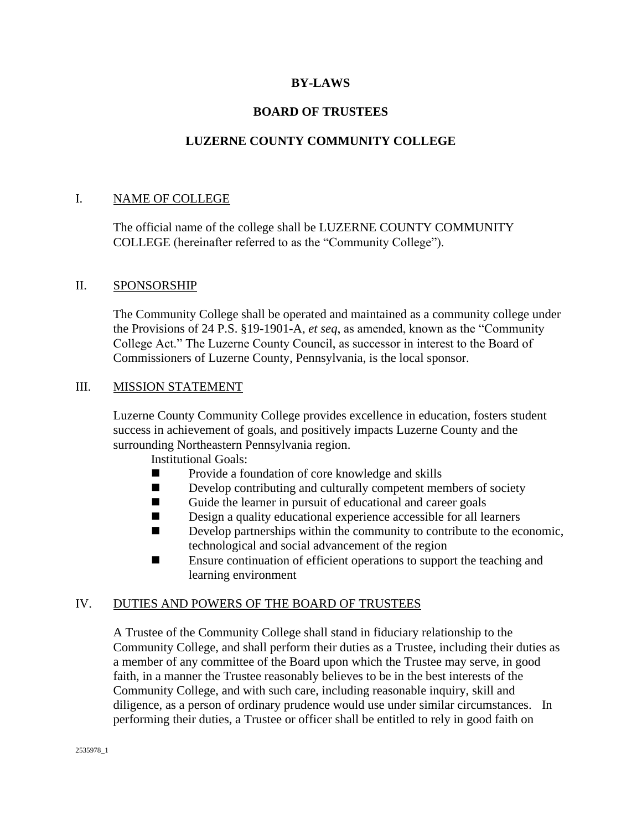# **BY-LAWS**

# **BOARD OF TRUSTEES**

# **LUZERNE COUNTY COMMUNITY COLLEGE**

## I. NAME OF COLLEGE

The official name of the college shall be LUZERNE COUNTY COMMUNITY COLLEGE (hereinafter referred to as the "Community College").

## II. SPONSORSHIP

The Community College shall be operated and maintained as a community college under the Provisions of 24 P.S. §19-1901-A, *et seq*, as amended, known as the "Community College Act." The Luzerne County Council, as successor in interest to the Board of Commissioners of Luzerne County, Pennsylvania, is the local sponsor.

## III. MISSION STATEMENT

Luzerne County Community College provides excellence in education, fosters student success in achievement of goals, and positively impacts Luzerne County and the surrounding Northeastern Pennsylvania region.

Institutional Goals:

- Provide a foundation of core knowledge and skills
- Develop contributing and culturally competent members of society
- Guide the learner in pursuit of educational and career goals
- Design a quality educational experience accessible for all learners
- Develop partnerships within the community to contribute to the economic, technological and social advancement of the region
- Ensure continuation of efficient operations to support the teaching and learning environment

## IV. DUTIES AND POWERS OF THE BOARD OF TRUSTEES

A Trustee of the Community College shall stand in fiduciary relationship to the Community College, and shall perform their duties as a Trustee, including their duties as a member of any committee of the Board upon which the Trustee may serve, in good faith, in a manner the Trustee reasonably believes to be in the best interests of the Community College, and with such care, including reasonable inquiry, skill and diligence, as a person of ordinary prudence would use under similar circumstances. In performing their duties, a Trustee or officer shall be entitled to rely in good faith on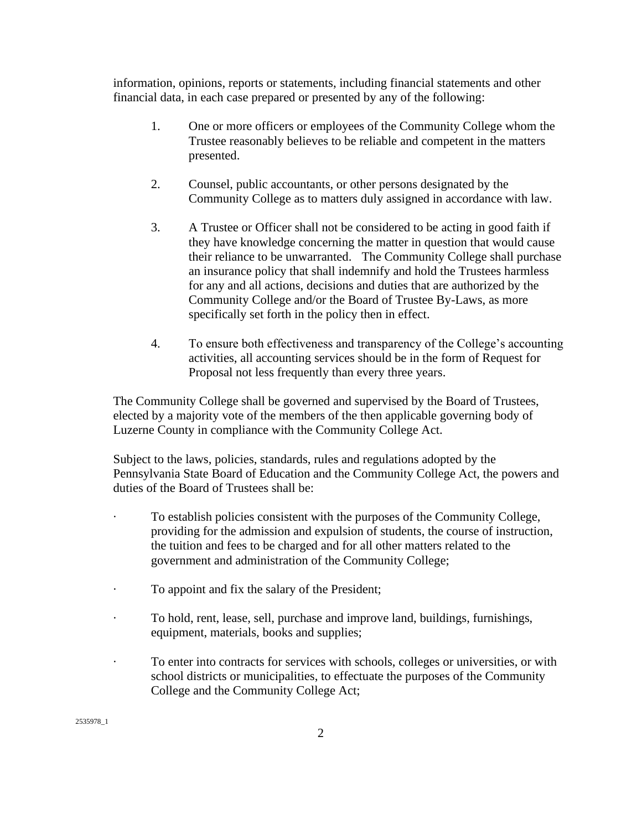information, opinions, reports or statements, including financial statements and other financial data, in each case prepared or presented by any of the following:

- 1. One or more officers or employees of the Community College whom the Trustee reasonably believes to be reliable and competent in the matters presented.
- 2. Counsel, public accountants, or other persons designated by the Community College as to matters duly assigned in accordance with law.
- 3. A Trustee or Officer shall not be considered to be acting in good faith if they have knowledge concerning the matter in question that would cause their reliance to be unwarranted. The Community College shall purchase an insurance policy that shall indemnify and hold the Trustees harmless for any and all actions, decisions and duties that are authorized by the Community College and/or the Board of Trustee By-Laws, as more specifically set forth in the policy then in effect.
- 4. To ensure both effectiveness and transparency of the College's accounting activities, all accounting services should be in the form of Request for Proposal not less frequently than every three years.

The Community College shall be governed and supervised by the Board of Trustees, elected by a majority vote of the members of the then applicable governing body of Luzerne County in compliance with the Community College Act.

Subject to the laws, policies, standards, rules and regulations adopted by the Pennsylvania State Board of Education and the Community College Act, the powers and duties of the Board of Trustees shall be:

- · To establish policies consistent with the purposes of the Community College, providing for the admission and expulsion of students, the course of instruction, the tuition and fees to be charged and for all other matters related to the government and administration of the Community College;
- To appoint and fix the salary of the President;
- · To hold, rent, lease, sell, purchase and improve land, buildings, furnishings, equipment, materials, books and supplies;
- · To enter into contracts for services with schools, colleges or universities, or with school districts or municipalities, to effectuate the purposes of the Community College and the Community College Act;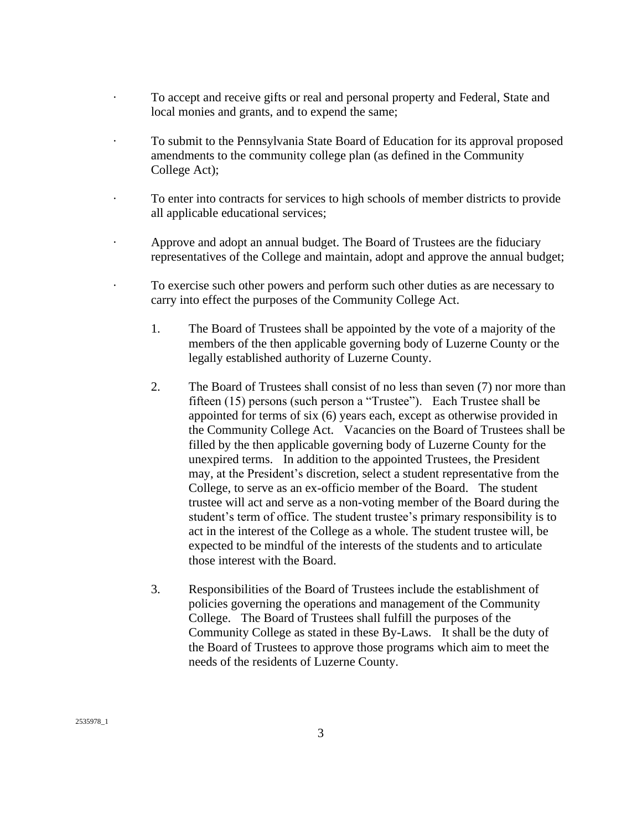- To accept and receive gifts or real and personal property and Federal, State and local monies and grants, and to expend the same;
- · To submit to the Pennsylvania State Board of Education for its approval proposed amendments to the community college plan (as defined in the Community College Act);
- · To enter into contracts for services to high schools of member districts to provide all applicable educational services;
- · Approve and adopt an annual budget. The Board of Trustees are the fiduciary representatives of the College and maintain, adopt and approve the annual budget;
- · To exercise such other powers and perform such other duties as are necessary to carry into effect the purposes of the Community College Act.
	- 1. The Board of Trustees shall be appointed by the vote of a majority of the members of the then applicable governing body of Luzerne County or the legally established authority of Luzerne County.
	- 2. The Board of Trustees shall consist of no less than seven (7) nor more than fifteen (15) persons (such person a "Trustee"). Each Trustee shall be appointed for terms of six (6) years each, except as otherwise provided in the Community College Act. Vacancies on the Board of Trustees shall be filled by the then applicable governing body of Luzerne County for the unexpired terms. In addition to the appointed Trustees, the President may, at the President's discretion, select a student representative from the College, to serve as an ex-officio member of the Board. The student trustee will act and serve as a non-voting member of the Board during the student's term of office. The student trustee's primary responsibility is to act in the interest of the College as a whole. The student trustee will, be expected to be mindful of the interests of the students and to articulate those interest with the Board.
	- 3. Responsibilities of the Board of Trustees include the establishment of policies governing the operations and management of the Community College. The Board of Trustees shall fulfill the purposes of the Community College as stated in these By-Laws. It shall be the duty of the Board of Trustees to approve those programs which aim to meet the needs of the residents of Luzerne County.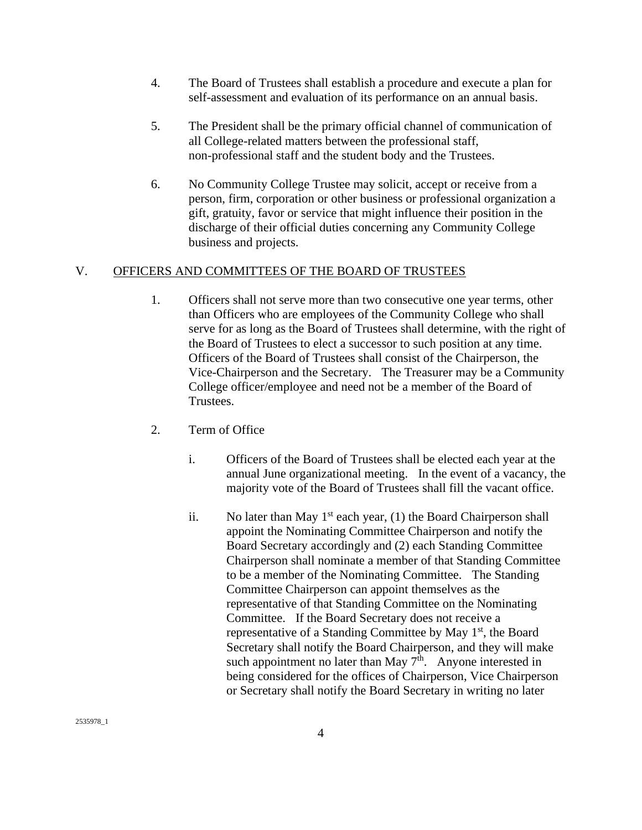- 4. The Board of Trustees shall establish a procedure and execute a plan for self-assessment and evaluation of its performance on an annual basis.
- 5. The President shall be the primary official channel of communication of all College-related matters between the professional staff, non-professional staff and the student body and the Trustees.
- 6. No Community College Trustee may solicit, accept or receive from a person, firm, corporation or other business or professional organization a gift, gratuity, favor or service that might influence their position in the discharge of their official duties concerning any Community College business and projects.

# V. OFFICERS AND COMMITTEES OF THE BOARD OF TRUSTEES

- 1. Officers shall not serve more than two consecutive one year terms, other than Officers who are employees of the Community College who shall serve for as long as the Board of Trustees shall determine, with the right of the Board of Trustees to elect a successor to such position at any time. Officers of the Board of Trustees shall consist of the Chairperson, the Vice-Chairperson and the Secretary. The Treasurer may be a Community College officer/employee and need not be a member of the Board of Trustees.
- 2. Term of Office
	- i. Officers of the Board of Trustees shall be elected each year at the annual June organizational meeting. In the event of a vacancy, the majority vote of the Board of Trustees shall fill the vacant office.
	- ii. No later than May  $1<sup>st</sup>$  each year, (1) the Board Chairperson shall appoint the Nominating Committee Chairperson and notify the Board Secretary accordingly and (2) each Standing Committee Chairperson shall nominate a member of that Standing Committee to be a member of the Nominating Committee. The Standing Committee Chairperson can appoint themselves as the representative of that Standing Committee on the Nominating Committee. If the Board Secretary does not receive a representative of a Standing Committee by May 1<sup>st</sup>, the Board Secretary shall notify the Board Chairperson, and they will make such appointment no later than May  $7<sup>th</sup>$ . Anyone interested in being considered for the offices of Chairperson, Vice Chairperson or Secretary shall notify the Board Secretary in writing no later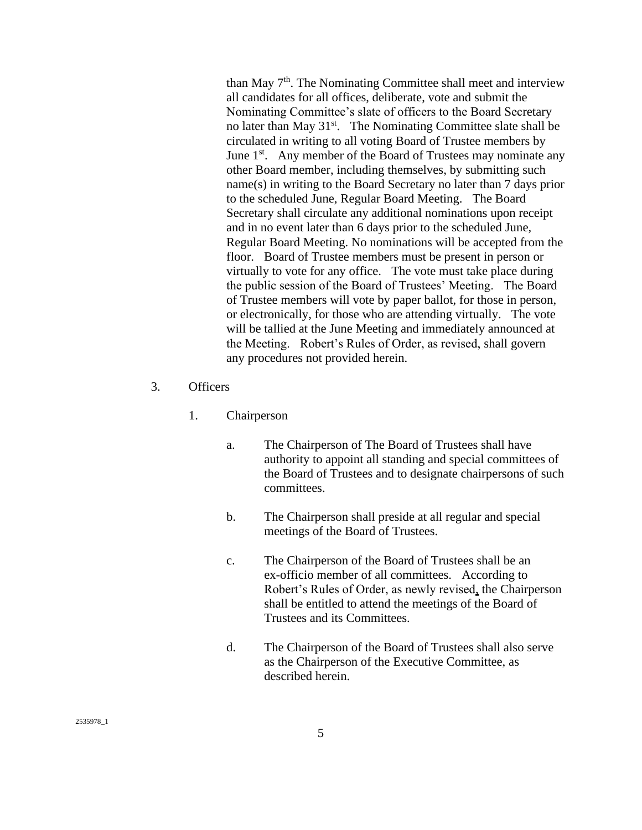than May  $7<sup>th</sup>$ . The Nominating Committee shall meet and interview all candidates for all offices, deliberate, vote and submit the Nominating Committee's slate of officers to the Board Secretary no later than May  $31<sup>st</sup>$ . The Nominating Committee slate shall be circulated in writing to all voting Board of Trustee members by June  $1<sup>st</sup>$ . Any member of the Board of Trustees may nominate any other Board member, including themselves, by submitting such name(s) in writing to the Board Secretary no later than 7 days prior to the scheduled June, Regular Board Meeting. The Board Secretary shall circulate any additional nominations upon receipt and in no event later than 6 days prior to the scheduled June, Regular Board Meeting. No nominations will be accepted from the floor. Board of Trustee members must be present in person or virtually to vote for any office. The vote must take place during the public session of the Board of Trustees' Meeting. The Board of Trustee members will vote by paper ballot, for those in person, or electronically, for those who are attending virtually. The vote will be tallied at the June Meeting and immediately announced at the Meeting. Robert's Rules of Order, as revised, shall govern any procedures not provided herein.

- 3. Officers
	- 1. Chairperson
		- a. The Chairperson of The Board of Trustees shall have authority to appoint all standing and special committees of the Board of Trustees and to designate chairpersons of such committees.
		- b. The Chairperson shall preside at all regular and special meetings of the Board of Trustees.
		- c. The Chairperson of the Board of Trustees shall be an ex-officio member of all committees. According to Robert's Rules of Order, as newly revised, the Chairperson shall be entitled to attend the meetings of the Board of Trustees and its Committees.
		- d. The Chairperson of the Board of Trustees shall also serve as the Chairperson of the Executive Committee, as described herein.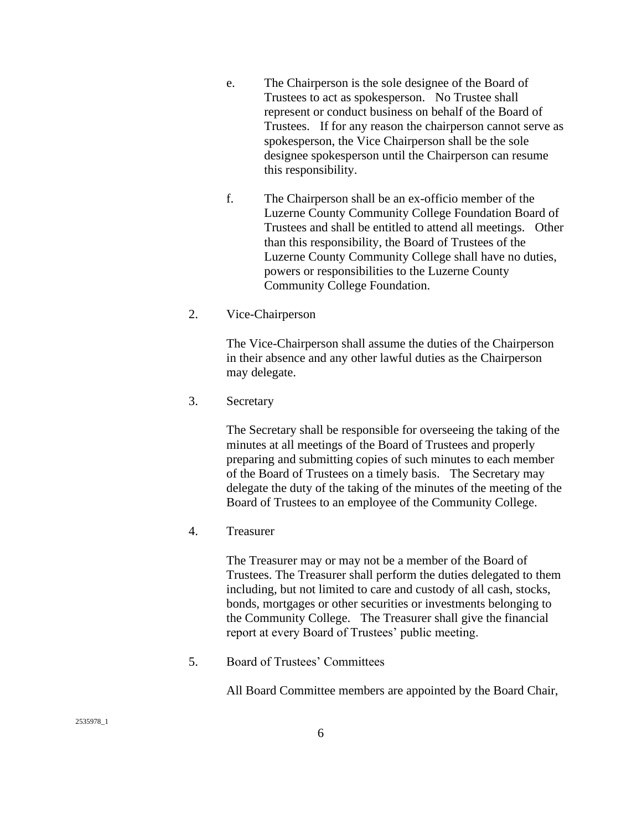- e. The Chairperson is the sole designee of the Board of Trustees to act as spokesperson. No Trustee shall represent or conduct business on behalf of the Board of Trustees. If for any reason the chairperson cannot serve as spokesperson, the Vice Chairperson shall be the sole designee spokesperson until the Chairperson can resume this responsibility.
- f. The Chairperson shall be an ex-officio member of the Luzerne County Community College Foundation Board of Trustees and shall be entitled to attend all meetings. Other than this responsibility, the Board of Trustees of the Luzerne County Community College shall have no duties, powers or responsibilities to the Luzerne County Community College Foundation.
- 2. Vice-Chairperson

The Vice-Chairperson shall assume the duties of the Chairperson in their absence and any other lawful duties as the Chairperson may delegate.

3. Secretary

The Secretary shall be responsible for overseeing the taking of the minutes at all meetings of the Board of Trustees and properly preparing and submitting copies of such minutes to each member of the Board of Trustees on a timely basis. The Secretary may delegate the duty of the taking of the minutes of the meeting of the Board of Trustees to an employee of the Community College.

4. Treasurer

The Treasurer may or may not be a member of the Board of Trustees. The Treasurer shall perform the duties delegated to them including, but not limited to care and custody of all cash, stocks, bonds, mortgages or other securities or investments belonging to the Community College. The Treasurer shall give the financial report at every Board of Trustees' public meeting.

5. Board of Trustees' Committees

All Board Committee members are appointed by the Board Chair,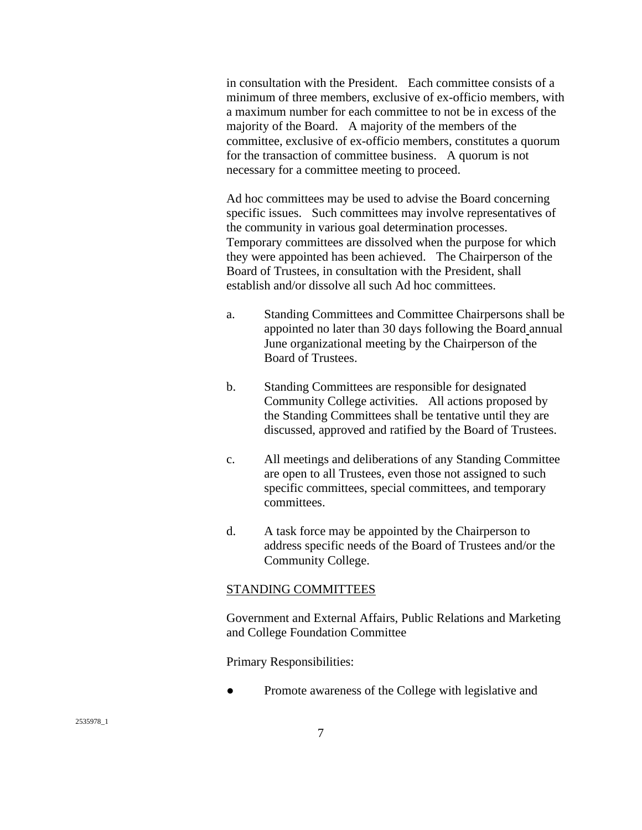in consultation with the President. Each committee consists of a minimum of three members, exclusive of ex-officio members, with a maximum number for each committee to not be in excess of the majority of the Board. A majority of the members of the committee, exclusive of ex-officio members, constitutes a quorum for the transaction of committee business. A quorum is not necessary for a committee meeting to proceed.

Ad hoc committees may be used to advise the Board concerning specific issues. Such committees may involve representatives of the community in various goal determination processes. Temporary committees are dissolved when the purpose for which they were appointed has been achieved. The Chairperson of the Board of Trustees, in consultation with the President, shall establish and/or dissolve all such Ad hoc committees.

- a. Standing Committees and Committee Chairpersons shall be appointed no later than 30 days following the Board annual June organizational meeting by the Chairperson of the Board of Trustees.
- b. Standing Committees are responsible for designated Community College activities. All actions proposed by the Standing Committees shall be tentative until they are discussed, approved and ratified by the Board of Trustees.
- c. All meetings and deliberations of any Standing Committee are open to all Trustees, even those not assigned to such specific committees, special committees, and temporary committees.
- d. A task force may be appointed by the Chairperson to address specific needs of the Board of Trustees and/or the Community College.

#### STANDING COMMITTEES

Government and External Affairs, Public Relations and Marketing and College Foundation Committee

Primary Responsibilities:

Promote awareness of the College with legislative and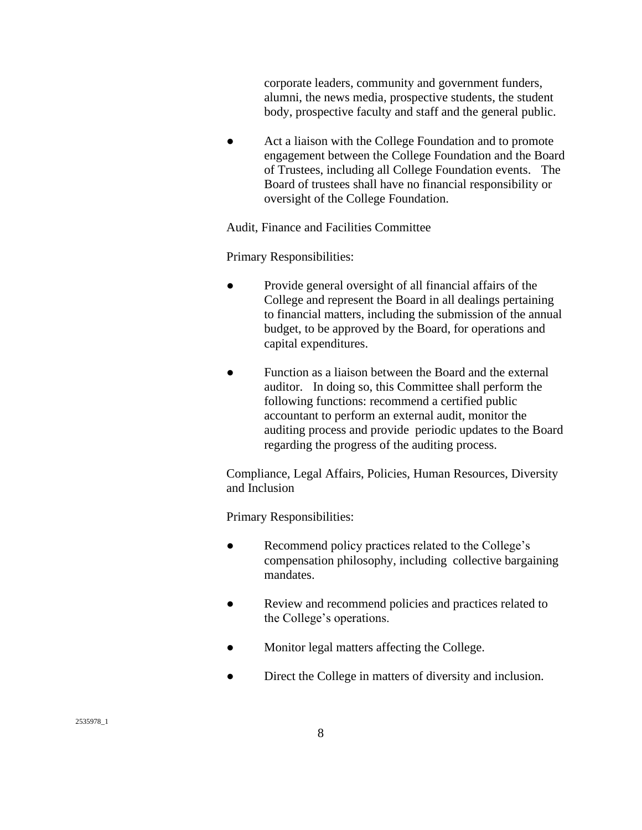corporate leaders, community and government funders, alumni, the news media, prospective students, the student body, prospective faculty and staff and the general public.

• Act a liaison with the College Foundation and to promote engagement between the College Foundation and the Board of Trustees, including all College Foundation events. The Board of trustees shall have no financial responsibility or oversight of the College Foundation.

Audit, Finance and Facilities Committee

Primary Responsibilities:

- Provide general oversight of all financial affairs of the College and represent the Board in all dealings pertaining to financial matters, including the submission of the annual budget, to be approved by the Board, for operations and capital expenditures.
- Function as a liaison between the Board and the external auditor. In doing so, this Committee shall perform the following functions: recommend a certified public accountant to perform an external audit, monitor the auditing process and provide periodic updates to the Board regarding the progress of the auditing process.

Compliance, Legal Affairs, Policies, Human Resources, Diversity and Inclusion

Primary Responsibilities:

- Recommend policy practices related to the College's compensation philosophy, including collective bargaining mandates.
- Review and recommend policies and practices related to the College's operations.
- Monitor legal matters affecting the College.
- Direct the College in matters of diversity and inclusion.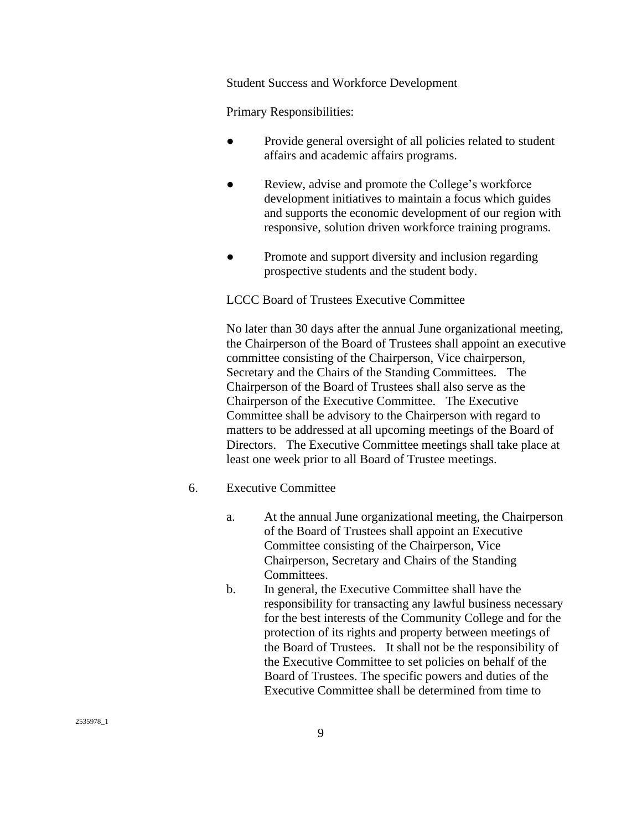Student Success and Workforce Development

Primary Responsibilities:

- Provide general oversight of all policies related to student affairs and academic affairs programs.
- Review, advise and promote the College's workforce development initiatives to maintain a focus which guides and supports the economic development of our region with responsive, solution driven workforce training programs.
- Promote and support diversity and inclusion regarding prospective students and the student body.

LCCC Board of Trustees Executive Committee

No later than 30 days after the annual June organizational meeting, the Chairperson of the Board of Trustees shall appoint an executive committee consisting of the Chairperson, Vice chairperson, Secretary and the Chairs of the Standing Committees. The Chairperson of the Board of Trustees shall also serve as the Chairperson of the Executive Committee. The Executive Committee shall be advisory to the Chairperson with regard to matters to be addressed at all upcoming meetings of the Board of Directors. The Executive Committee meetings shall take place at least one week prior to all Board of Trustee meetings.

## 6. Executive Committee

- a. At the annual June organizational meeting, the Chairperson of the Board of Trustees shall appoint an Executive Committee consisting of the Chairperson, Vice Chairperson, Secretary and Chairs of the Standing Committees.
- b. In general, the Executive Committee shall have the responsibility for transacting any lawful business necessary for the best interests of the Community College and for the protection of its rights and property between meetings of the Board of Trustees. It shall not be the responsibility of the Executive Committee to set policies on behalf of the Board of Trustees. The specific powers and duties of the Executive Committee shall be determined from time to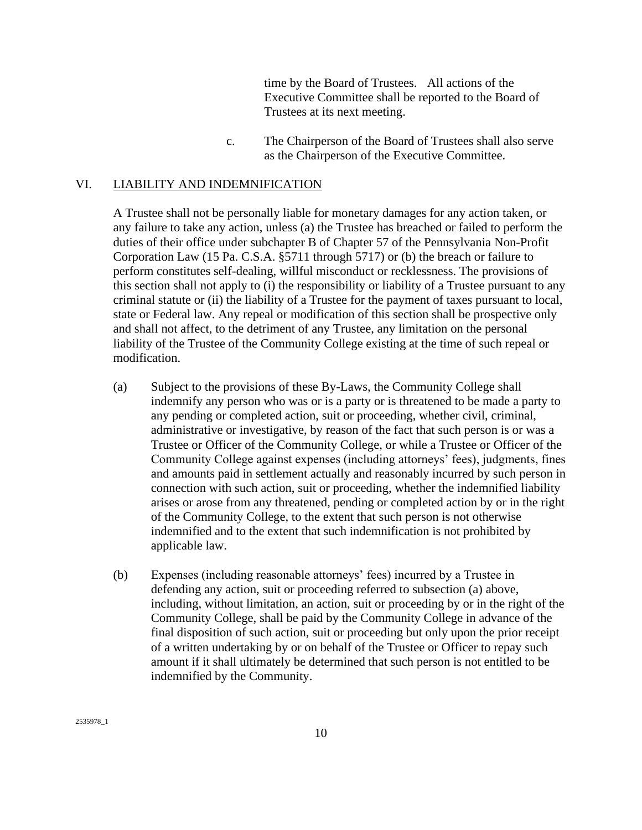time by the Board of Trustees. All actions of the Executive Committee shall be reported to the Board of Trustees at its next meeting.

c. The Chairperson of the Board of Trustees shall also serve as the Chairperson of the Executive Committee.

## VI. LIABILITY AND INDEMNIFICATION

A Trustee shall not be personally liable for monetary damages for any action taken, or any failure to take any action, unless (a) the Trustee has breached or failed to perform the duties of their office under subchapter B of Chapter 57 of the Pennsylvania Non-Profit Corporation Law (15 Pa. C.S.A. §5711 through 5717) or (b) the breach or failure to perform constitutes self-dealing, willful misconduct or recklessness. The provisions of this section shall not apply to (i) the responsibility or liability of a Trustee pursuant to any criminal statute or (ii) the liability of a Trustee for the payment of taxes pursuant to local, state or Federal law. Any repeal or modification of this section shall be prospective only and shall not affect, to the detriment of any Trustee, any limitation on the personal liability of the Trustee of the Community College existing at the time of such repeal or modification.

- (a) Subject to the provisions of these By-Laws, the Community College shall indemnify any person who was or is a party or is threatened to be made a party to any pending or completed action, suit or proceeding, whether civil, criminal, administrative or investigative, by reason of the fact that such person is or was a Trustee or Officer of the Community College, or while a Trustee or Officer of the Community College against expenses (including attorneys' fees), judgments, fines and amounts paid in settlement actually and reasonably incurred by such person in connection with such action, suit or proceeding, whether the indemnified liability arises or arose from any threatened, pending or completed action by or in the right of the Community College, to the extent that such person is not otherwise indemnified and to the extent that such indemnification is not prohibited by applicable law.
- (b) Expenses (including reasonable attorneys' fees) incurred by a Trustee in defending any action, suit or proceeding referred to subsection (a) above, including, without limitation, an action, suit or proceeding by or in the right of the Community College, shall be paid by the Community College in advance of the final disposition of such action, suit or proceeding but only upon the prior receipt of a written undertaking by or on behalf of the Trustee or Officer to repay such amount if it shall ultimately be determined that such person is not entitled to be indemnified by the Community.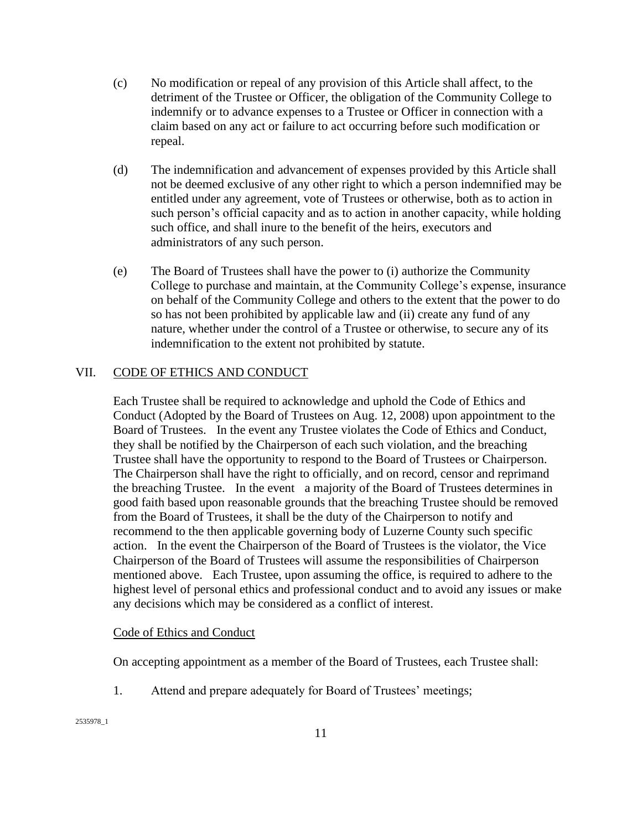- (c) No modification or repeal of any provision of this Article shall affect, to the detriment of the Trustee or Officer, the obligation of the Community College to indemnify or to advance expenses to a Trustee or Officer in connection with a claim based on any act or failure to act occurring before such modification or repeal.
- (d) The indemnification and advancement of expenses provided by this Article shall not be deemed exclusive of any other right to which a person indemnified may be entitled under any agreement, vote of Trustees or otherwise, both as to action in such person's official capacity and as to action in another capacity, while holding such office, and shall inure to the benefit of the heirs, executors and administrators of any such person.
- (e) The Board of Trustees shall have the power to (i) authorize the Community College to purchase and maintain, at the Community College's expense, insurance on behalf of the Community College and others to the extent that the power to do so has not been prohibited by applicable law and (ii) create any fund of any nature, whether under the control of a Trustee or otherwise, to secure any of its indemnification to the extent not prohibited by statute.

## VII. CODE OF ETHICS AND CONDUCT

Each Trustee shall be required to acknowledge and uphold the Code of Ethics and Conduct (Adopted by the Board of Trustees on Aug. 12, 2008) upon appointment to the Board of Trustees. In the event any Trustee violates the Code of Ethics and Conduct, they shall be notified by the Chairperson of each such violation, and the breaching Trustee shall have the opportunity to respond to the Board of Trustees or Chairperson. The Chairperson shall have the right to officially, and on record, censor and reprimand the breaching Trustee. In the event a majority of the Board of Trustees determines in good faith based upon reasonable grounds that the breaching Trustee should be removed from the Board of Trustees, it shall be the duty of the Chairperson to notify and recommend to the then applicable governing body of Luzerne County such specific action. In the event the Chairperson of the Board of Trustees is the violator, the Vice Chairperson of the Board of Trustees will assume the responsibilities of Chairperson mentioned above. Each Trustee, upon assuming the office, is required to adhere to the highest level of personal ethics and professional conduct and to avoid any issues or make any decisions which may be considered as a conflict of interest.

#### Code of Ethics and Conduct

On accepting appointment as a member of the Board of Trustees, each Trustee shall:

1. Attend and prepare adequately for Board of Trustees' meetings;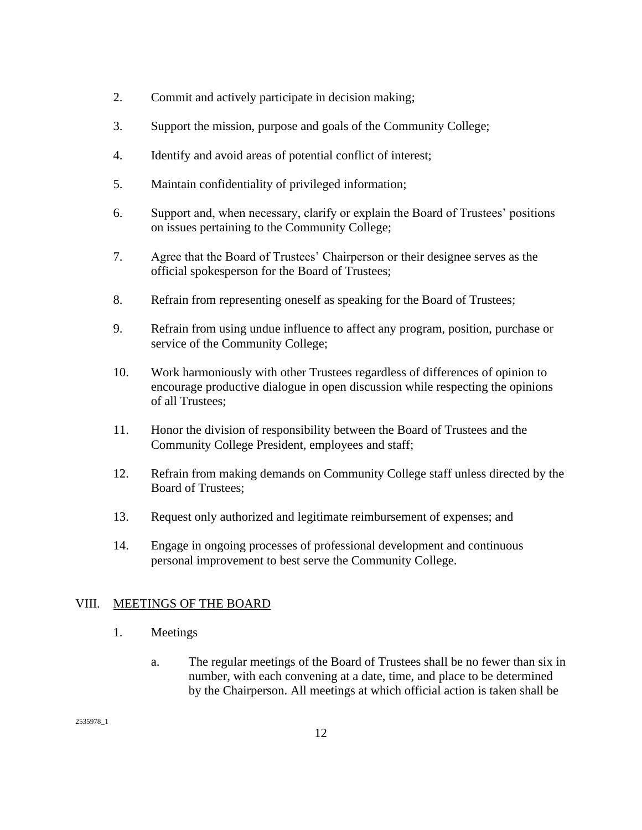- 2. Commit and actively participate in decision making;
- 3. Support the mission, purpose and goals of the Community College;
- 4. Identify and avoid areas of potential conflict of interest;
- 5. Maintain confidentiality of privileged information;
- 6. Support and, when necessary, clarify or explain the Board of Trustees' positions on issues pertaining to the Community College;
- 7. Agree that the Board of Trustees' Chairperson or their designee serves as the official spokesperson for the Board of Trustees;
- 8. Refrain from representing oneself as speaking for the Board of Trustees;
- 9. Refrain from using undue influence to affect any program, position, purchase or service of the Community College;
- 10. Work harmoniously with other Trustees regardless of differences of opinion to encourage productive dialogue in open discussion while respecting the opinions of all Trustees;
- 11. Honor the division of responsibility between the Board of Trustees and the Community College President, employees and staff;
- 12. Refrain from making demands on Community College staff unless directed by the Board of Trustees;
- 13. Request only authorized and legitimate reimbursement of expenses; and
- 14. Engage in ongoing processes of professional development and continuous personal improvement to best serve the Community College.

## VIII. MEETINGS OF THE BOARD

- 1. Meetings
	- a. The regular meetings of the Board of Trustees shall be no fewer than six in number, with each convening at a date, time, and place to be determined by the Chairperson. All meetings at which official action is taken shall be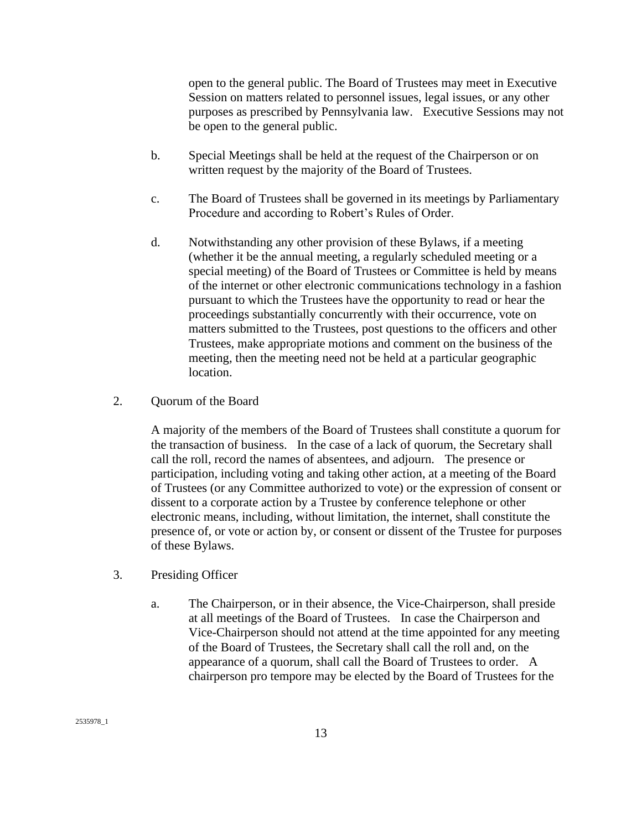open to the general public. The Board of Trustees may meet in Executive Session on matters related to personnel issues, legal issues, or any other purposes as prescribed by Pennsylvania law. Executive Sessions may not be open to the general public.

- b. Special Meetings shall be held at the request of the Chairperson or on written request by the majority of the Board of Trustees.
- c. The Board of Trustees shall be governed in its meetings by Parliamentary Procedure and according to Robert's Rules of Order.
- d. Notwithstanding any other provision of these Bylaws, if a meeting (whether it be the annual meeting, a regularly scheduled meeting or a special meeting) of the Board of Trustees or Committee is held by means of the internet or other electronic communications technology in a fashion pursuant to which the Trustees have the opportunity to read or hear the proceedings substantially concurrently with their occurrence, vote on matters submitted to the Trustees, post questions to the officers and other Trustees, make appropriate motions and comment on the business of the meeting, then the meeting need not be held at a particular geographic location.

### 2. Quorum of the Board

A majority of the members of the Board of Trustees shall constitute a quorum for the transaction of business. In the case of a lack of quorum, the Secretary shall call the roll, record the names of absentees, and adjourn. The presence or participation, including voting and taking other action, at a meeting of the Board of Trustees (or any Committee authorized to vote) or the expression of consent or dissent to a corporate action by a Trustee by conference telephone or other electronic means, including, without limitation, the internet, shall constitute the presence of, or vote or action by, or consent or dissent of the Trustee for purposes of these Bylaws.

- 3. Presiding Officer
	- a. The Chairperson, or in their absence, the Vice-Chairperson, shall preside at all meetings of the Board of Trustees. In case the Chairperson and Vice-Chairperson should not attend at the time appointed for any meeting of the Board of Trustees, the Secretary shall call the roll and, on the appearance of a quorum, shall call the Board of Trustees to order. A chairperson pro tempore may be elected by the Board of Trustees for the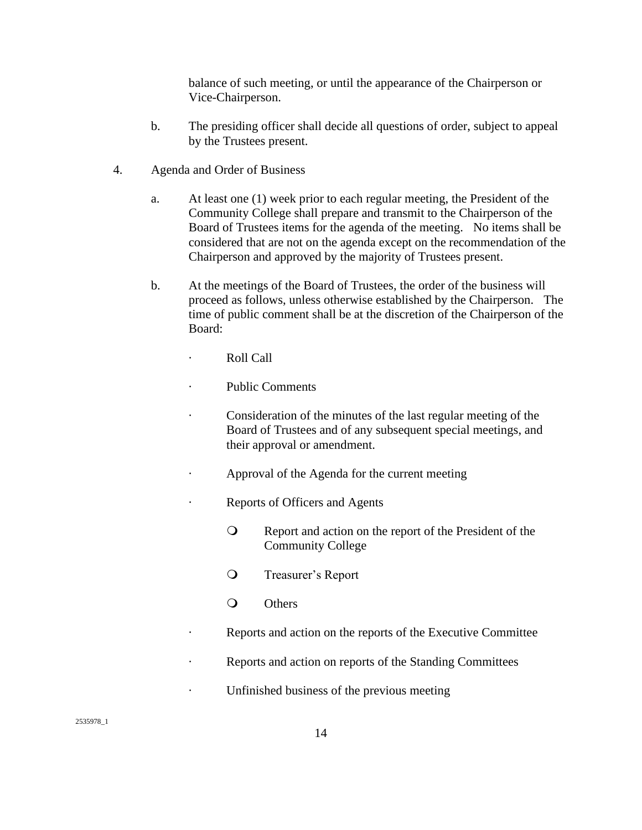balance of such meeting, or until the appearance of the Chairperson or Vice-Chairperson.

- b. The presiding officer shall decide all questions of order, subject to appeal by the Trustees present.
- 4. Agenda and Order of Business
	- a. At least one (1) week prior to each regular meeting, the President of the Community College shall prepare and transmit to the Chairperson of the Board of Trustees items for the agenda of the meeting. No items shall be considered that are not on the agenda except on the recommendation of the Chairperson and approved by the majority of Trustees present.
	- b. At the meetings of the Board of Trustees, the order of the business will proceed as follows, unless otherwise established by the Chairperson. The time of public comment shall be at the discretion of the Chairperson of the Board:
		- Roll Call
		- Public Comments
		- · Consideration of the minutes of the last regular meeting of the Board of Trustees and of any subsequent special meetings, and their approval or amendment.
		- Approval of the Agenda for the current meeting
		- · Reports of Officers and Agents
			- Report and action on the report of the President of the Community College
			- Treasurer's Report
			- O Others
		- Reports and action on the reports of the Executive Committee
		- Reports and action on reports of the Standing Committees
		- · Unfinished business of the previous meeting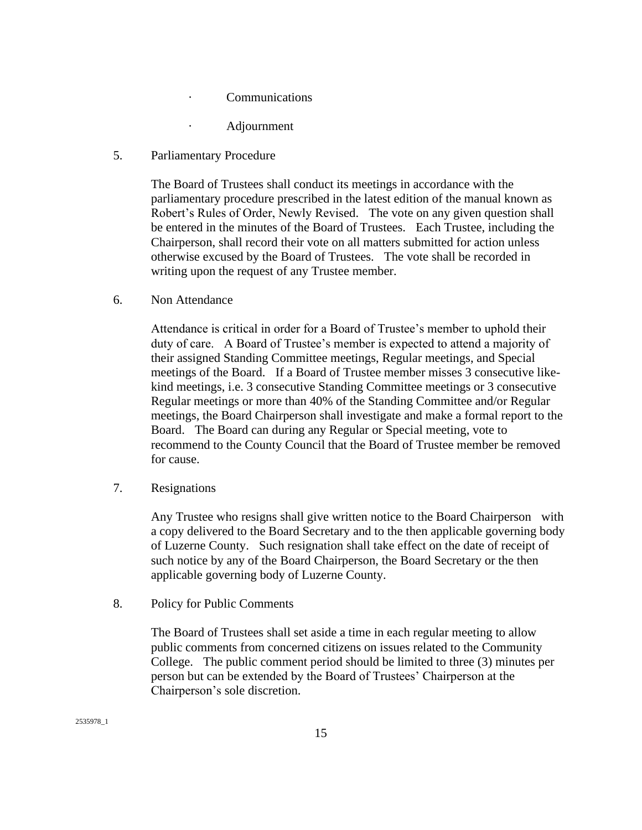- · Communications
	- · Adjournment
- 5. Parliamentary Procedure

The Board of Trustees shall conduct its meetings in accordance with the parliamentary procedure prescribed in the latest edition of the manual known as Robert's Rules of Order, Newly Revised. The vote on any given question shall be entered in the minutes of the Board of Trustees. Each Trustee, including the Chairperson, shall record their vote on all matters submitted for action unless otherwise excused by the Board of Trustees. The vote shall be recorded in writing upon the request of any Trustee member.

6. Non Attendance

Attendance is critical in order for a Board of Trustee's member to uphold their duty of care. A Board of Trustee's member is expected to attend a majority of their assigned Standing Committee meetings, Regular meetings, and Special meetings of the Board. If a Board of Trustee member misses 3 consecutive likekind meetings, i.e. 3 consecutive Standing Committee meetings or 3 consecutive Regular meetings or more than 40% of the Standing Committee and/or Regular meetings, the Board Chairperson shall investigate and make a formal report to the Board. The Board can during any Regular or Special meeting, vote to recommend to the County Council that the Board of Trustee member be removed for cause.

7. Resignations

Any Trustee who resigns shall give written notice to the Board Chairperson with a copy delivered to the Board Secretary and to the then applicable governing body of Luzerne County. Such resignation shall take effect on the date of receipt of such notice by any of the Board Chairperson, the Board Secretary or the then applicable governing body of Luzerne County.

8. Policy for Public Comments

The Board of Trustees shall set aside a time in each regular meeting to allow public comments from concerned citizens on issues related to the Community College. The public comment period should be limited to three (3) minutes per person but can be extended by the Board of Trustees' Chairperson at the Chairperson's sole discretion.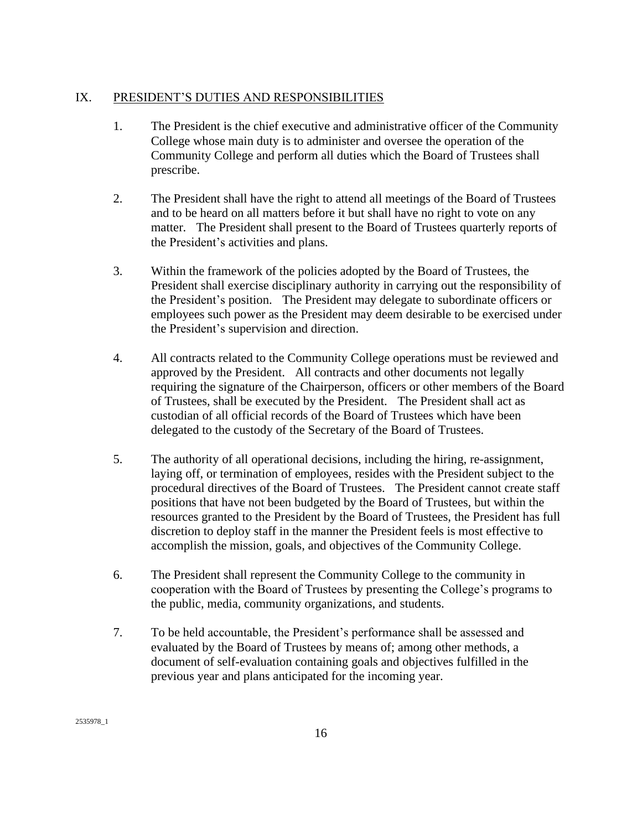# IX. PRESIDENT'S DUTIES AND RESPONSIBILITIES

- 1. The President is the chief executive and administrative officer of the Community College whose main duty is to administer and oversee the operation of the Community College and perform all duties which the Board of Trustees shall prescribe.
- 2. The President shall have the right to attend all meetings of the Board of Trustees and to be heard on all matters before it but shall have no right to vote on any matter. The President shall present to the Board of Trustees quarterly reports of the President's activities and plans.
- 3. Within the framework of the policies adopted by the Board of Trustees, the President shall exercise disciplinary authority in carrying out the responsibility of the President's position. The President may delegate to subordinate officers or employees such power as the President may deem desirable to be exercised under the President's supervision and direction.
- 4. All contracts related to the Community College operations must be reviewed and approved by the President. All contracts and other documents not legally requiring the signature of the Chairperson, officers or other members of the Board of Trustees, shall be executed by the President. The President shall act as custodian of all official records of the Board of Trustees which have been delegated to the custody of the Secretary of the Board of Trustees.
- 5. The authority of all operational decisions, including the hiring, re-assignment, laying off, or termination of employees, resides with the President subject to the procedural directives of the Board of Trustees. The President cannot create staff positions that have not been budgeted by the Board of Trustees, but within the resources granted to the President by the Board of Trustees, the President has full discretion to deploy staff in the manner the President feels is most effective to accomplish the mission, goals, and objectives of the Community College.
- 6. The President shall represent the Community College to the community in cooperation with the Board of Trustees by presenting the College's programs to the public, media, community organizations, and students.
- 7. To be held accountable, the President's performance shall be assessed and evaluated by the Board of Trustees by means of; among other methods, a document of self-evaluation containing goals and objectives fulfilled in the previous year and plans anticipated for the incoming year.